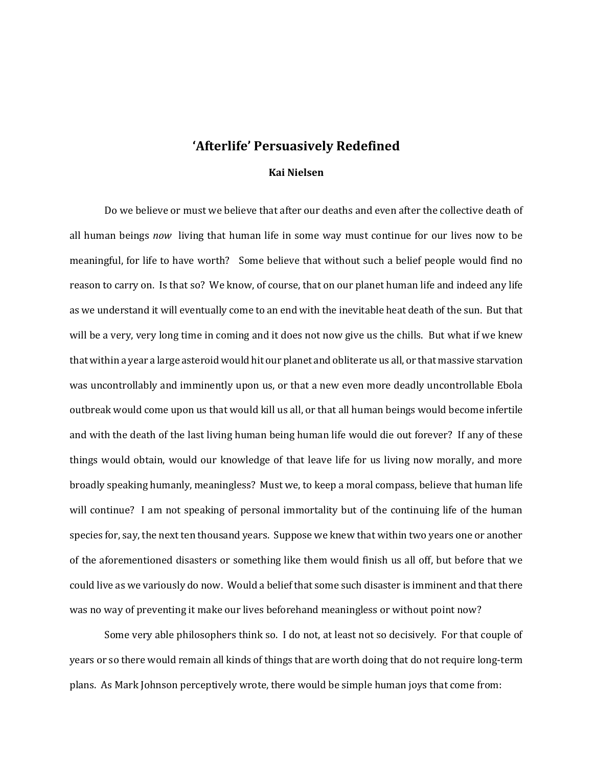## **'Afterlife' Persuasively Redefined**

## **Kai Nielsen**

Do we believe or must we believe that after our deaths and even after the collective death of all human beings *now* living that human life in some way must continue for our lives now to be meaningful, for life to have worth? Some believe that without such a belief people would find no reason to carry on. Is that so? We know, of course, that on our planet human life and indeed any life as we understand it will eventually come to an end with the inevitable heat death of the sun. But that will be a very, very long time in coming and it does not now give us the chills. But what if we knew that within a year a large asteroid would hit our planet and obliterate us all, or that massive starvation was uncontrollably and imminently upon us, or that a new even more deadly uncontrollable Ebola outbreak would come upon us that would kill us all, or that all human beings would become infertile and with the death of the last living human being human life would die out forever? If any of these things would obtain, would our knowledge of that leave life for us living now morally, and more broadly speaking humanly, meaningless? Must we, to keep a moral compass, believe that human life will continue? I am not speaking of personal immortality but of the continuing life of the human species for, say, the next ten thousand years. Suppose we knew that within two years one or another of the aforementioned disasters or something like them would finish us all off, but before that we could live as we variously do now. Would a belief that some such disaster is imminent and that there was no way of preventing it make our lives beforehand meaningless or without point now?

Some very able philosophers think so. I do not, at least not so decisively. For that couple of years or so there would remain all kinds of things that are worth doing that do not require long-term plans. As Mark Johnson perceptively wrote, there would be simple human joys that come from: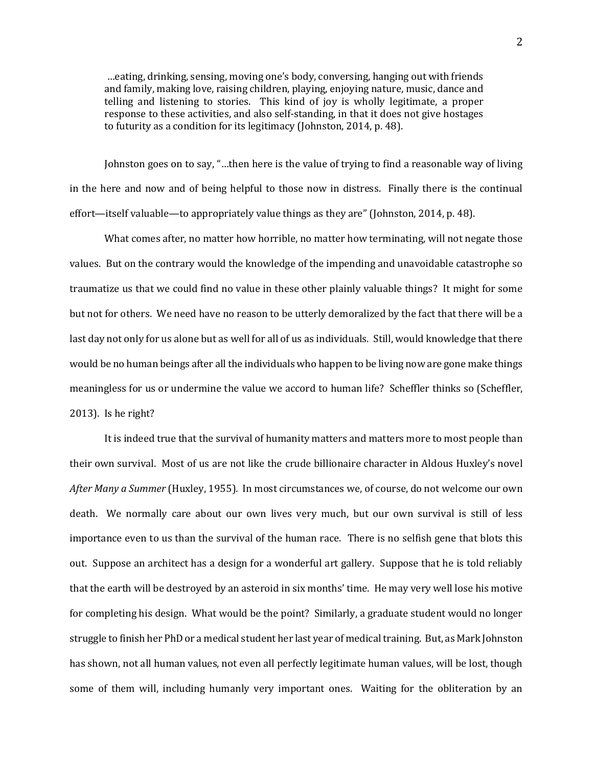…eating, drinking, sensing, moving one's body, conversing, hanging out with friends and family, making love, raising children, playing, enjoying nature, music, dance and telling and listening to stories. This kind of joy is wholly legitimate, a proper response to these activities, and also self-standing, in that it does not give hostages to futurity as a condition for its legitimacy (Johnston, 2014, p. 48).

Johnston goes on to say, "…then here is the value of trying to find a reasonable way of living in the here and now and of being helpful to those now in distress. Finally there is the continual effort—itself valuable—to appropriately value things as they are" (Johnston, 2014, p. 48).

What comes after, no matter how horrible, no matter how terminating, will not negate those values. But on the contrary would the knowledge of the impending and unavoidable catastrophe so traumatize us that we could find no value in these other plainly valuable things? It might for some but not for others. We need have no reason to be utterly demoralized by the fact that there will be a last day not only for us alone but as well for all of us as individuals. Still, would knowledge that there would be no human beings after all the individuals who happen to be living now are gone make things meaningless for us or undermine the value we accord to human life? Scheffler thinks so (Scheffler, 2013). Is he right?

It is indeed true that the survival of humanity matters and matters more to most people than their own survival. Most of us are not like the crude billionaire character in Aldous Huxley's novel *After Many a Summer* (Huxley, 1955)*.* In most circumstances we, of course, do not welcome our own death. We normally care about our own lives very much, but our own survival is still of less importance even to us than the survival of the human race. There is no selfish gene that blots this out. Suppose an architect has a design for a wonderful art gallery. Suppose that he is told reliably that the earth will be destroyed by an asteroid in six months' time. He may very well lose his motive for completing his design. What would be the point? Similarly, a graduate student would no longer struggle to finish her PhD or a medical student her last year of medical training. But, as Mark Johnston has shown, not all human values, not even all perfectly legitimate human values, will be lost, though some of them will, including humanly very important ones. Waiting for the obliteration by an